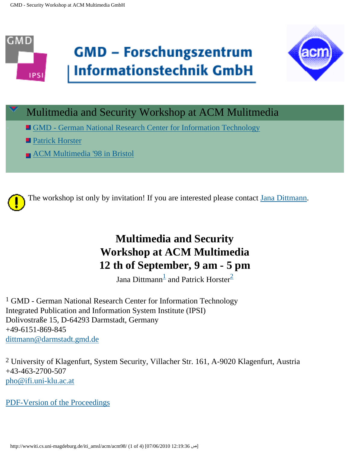



# Mulitmedia and Security Workshop at ACM Mulitmedia

- . [GMD German National Research Center for Information Technology](http://www.gmd.de/de/institute.html)
- **[Patrick Horster](mailto: pho@ifi.uni-klu.ac.at)**
- **[ACM Multimedia '98 in Bristol](http://www.acm.org/sigmm/MM98/)**



# **Multimedia and Security Workshop at ACM Multimedia 12 th of September, 9 am - 5 pm**

Jana Dittmann $^{\frac{1}{2}}$  $^{\frac{1}{2}}$  $^{\frac{1}{2}}$  $^{\frac{1}{2}}$  $^{\frac{1}{2}}$  and Patrick Horster $^{\frac{2}{2}}$ 

<span id="page-0-0"></span>1 GMD - German National Research Center for Information Technology Integrated Publication and Information System Institute (IPSI) Dolivostraße 15, D-64293 Darmstadt, Germany +49-6151-869-845 [dittmann@darmstadt.gmd.de](mailto: dittmann@darmstadt.gmd.de)

<span id="page-0-1"></span>2 University of Klagenfurt, System Security, Villacher Str. 161, A-9020 Klagenfurt, Austria +43-463-2700-507 [pho@ifi.uni-klu.ac.at](mailto: pho@ifi.uni-klu.ac.at)

[PDF-Version of the Proceedings](http://wwwiti.cs.uni-magdeburg.de/iti_amsl/acm/acm98/workshop.pdf)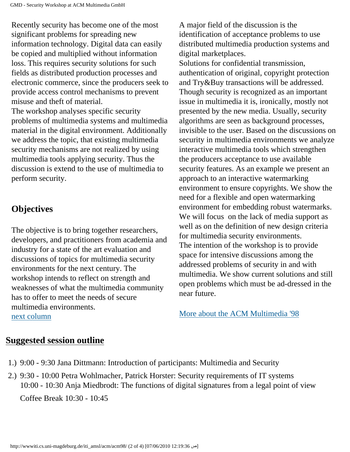Recently security has become one of the most significant problems for spreading new information technology. Digital data can easily be copied and multiplied without information loss. This requires security solutions for such fields as distributed production processes and electronic commerce, since the producers seek to provide access control mechanisms to prevent misuse and theft of material. The workshop analyses specific security

problems of multimedia systems and multimedia material in the digital environment. Additionally we address the topic, that existing multimedia security mechanisms are not realized by using multimedia tools applying security. Thus the discussion is extend to the use of multimedia to perform security.

## **Objectives**

The objective is to bring together researchers, developers, and practitioners from academia and industry for a state of the art evaluation and discussions of topics for multimedia security environments for the next century. The workshop intends to reflect on strength and weaknesses of what the multimedia community has to offer to meet the needs of secure multimedia environments. [next column](#page-1-0)

A major field of the discussion is the identification of acceptance problems to use distributed multimedia production systems and digital marketplaces. Solutions for confidential transmission, authentication of original, copyright protection and Try&Buy transactions will be addressed. Though security is recognized as an important issue in multimedia it is, ironically, mostly not presented by the new media. Usually, security algorithms are seen as background processes, invisible to the user. Based on the discussions on security in multimedia environments we analyze interactive multimedia tools which strengthen the producers acceptance to use available security features. As an example we present an approach to an interactive watermarking environment to ensure copyrights. We show the need for a flexible and open watermarking environment for embedding robust watermarks. We will focus on the lack of media support as well as on the definition of new design criteria for multimedia security environments. The intention of the workshop is to provide space for intensive discussions among the addressed problems of security in and with multimedia. We show current solutions and still open problems which must be ad-dressed in the near future.

[More about the ACM Multimedia '98](http://www.acm.org/sigmm/MM98/)

### <span id="page-1-0"></span>**Suggested session outline**

- 1.) 9:00 9:30 Jana Dittmann: Introduction of participants: Multimedia and Security
- 2.) 9:30 10:00 Petra Wohlmacher, Patrick Horster: Security requirements of IT systems 10:00 - 10:30 Anja Miedbrodt: The functions of digital signatures from a legal point of view Coffee Break 10:30 - 10:45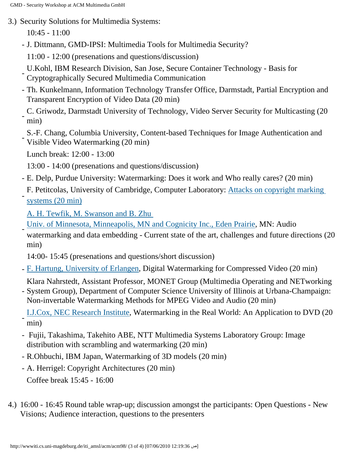3.) Security Solutions for Multimedia Systems:

10:45 - 11:00

- J. Dittmann, GMD-IPSI: Multimedia Tools for Multimedia Security?
	- 11:00 12:00 (presenations and questions/discussion)
- U.Kohl, IBM Research Division, San Jose, Secure Container Technology Basis for Cryptographically Secured Multimedia Communication
- Th. Kunkelmann, Information Technology Transfer Office, Darmstadt, Partial Encryption and Transparent Encryption of Video Data (20 min)
- C. Griwodz, Darmstadt University of Technology, Video Server Security for Multicasting (20 min)
- S.-F. Chang, Columbia University, Content-based Techniques for Image Authentication and Visible Video Watermarking (20 min)
- Lunch break: 12:00 13:00
- 13:00 14:00 (presenations and questions/discussion)
- E. Delp, Purdue University: Watermarking: Does it work and Who really cares? (20 min)
- F. Petitcolas, University of Cambridge, Computer Laboratory: [Attacks on copyright marking](http://www.cl.cam.ac.uk/~fapp2/papers/ih98-attacks/)  [systems \(20 min\)](http://www.cl.cam.ac.uk/~fapp2/papers/ih98-attacks/)
	- [A. H. Tewfik, M. Swanson and B. Zhu](http://www.ee.umn.edu/groups/msp/subject/mmedia.html)
- [Univ. of Minnesota, Minneapolis, MN and Cognicity Inc., Eden Prairie,](http://www.ee.umn.edu/groups/msp/subject/mmedia.html) MN: Audio watermarking and data embedding - Current state of the art, challenges and future directions (20 min)
	- 14:00- 15:45 (presenations and questions/short discussion)
- [F. Hartung, University of Erlangen,](http://www-nt.e-technik.uni-erlangen.de/~hartung/) Digital Watermarking for Compressed Video (20 min)
- Klara Nahrstedt, Assistant Professor, MONET Group (Multimedia Operating and NETworking
- System Group), Department of Computer Science University of Illinois at Urbana-Champaign: Non-invertable Watermarking Methods for MPEG Video and Audio (20 min)
- [I.J.Cox, NEC Research Institute](http://www.neci.nj.nec.com/), Watermarking in the Real World: An Application to DVD (20 min)
- Fujii, Takashima, Takehito ABE, NTT Multimedia Systems Laboratory Group: Image distribution with scrambling and watermarking (20 min)
- R.Ohbuchi, IBM Japan, Watermarking of 3D models (20 min)
- A. Herrigel: Copyright Architectures (20 min) Coffee break 15:45 - 16:00
- 4.) 16:00 16:45 Round table wrap-up; discussion amongst the participants: Open Questions New Visions; Audience interaction, questions to the presenters